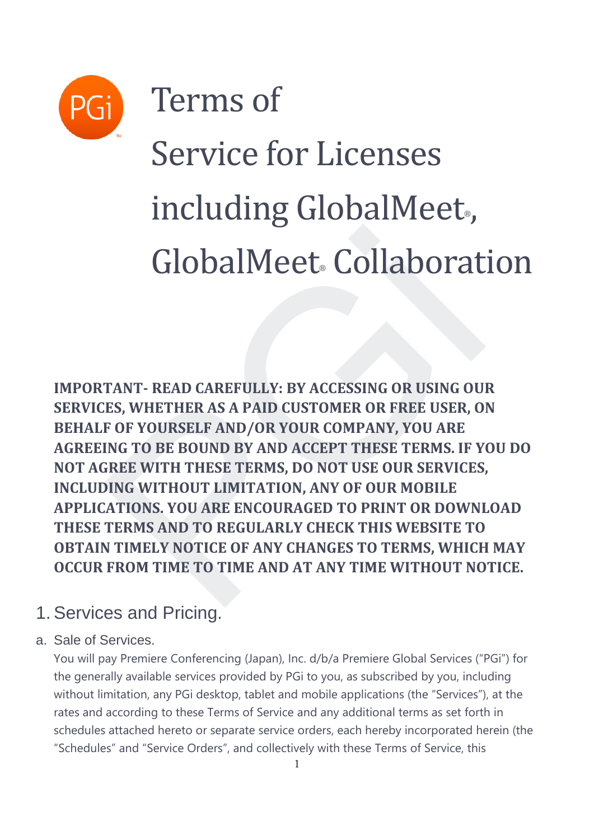

Terms of

# Service for Licenses including GlobalMeet<sub>®</sub>, GlobalMeet Collaboration

**IMPORTANT- READ CAREFULLY: BY ACCESSING OR USING OUR SERVICES, WHETHER AS A PAID CUSTOMER OR FREE USER, ON BEHALF OF YOURSELF AND/OR YOUR COMPANY, YOU ARE AGREEING TO BE BOUND BY AND ACCEPT THESE TERMS. IF YOU DO NOT AGREE WITH THESE TERMS, DO NOT USE OUR SERVICES, INCLUDING WITHOUT LIMITATION, ANY OF OUR MOBILE APPLICATIONS. YOU ARE ENCOURAGED TO PRINT OR DOWNLOAD THESE TERMS AND TO REGULARLY CHECK THIS WEBSITE TO OBTAIN TIMELY NOTICE OF ANY CHANGES TO TERMS, WHICH MAY OCCUR FROM TIME TO TIME AND AT ANY TIME WITHOUT NOTICE. GlobalMeet. Collaborat**<br>TANT-READ CAREFULLY: BY ACCESSING OR USING OU.<br>TES, WHETHER AS A PAID CUSTOMER OR FREE USER, O<br>F OF YOURSELF AND/OR YOUR COMPANY, YOU ARE<br>ING TO BE BOUND BY AND ACCEPT THESE TERMS. IF Y<br>SREE WITH T

# 1. Services and Pricing.

## a. Sale of Services.

You will pay Premiere Conferencing (Japan), Inc. d/b/a Premiere Global Services ("PGi") for the generally available services provided by PGi to you, as subscribed by you, including without limitation, any PGi desktop, tablet and mobile applications (the "Services"), at the rates and according to these Terms of Service and any additional terms as set forth in schedules attached hereto or separate service orders, each hereby incorporated herein (the "Schedules" and "Service Orders", and collectively with these Terms of Service, this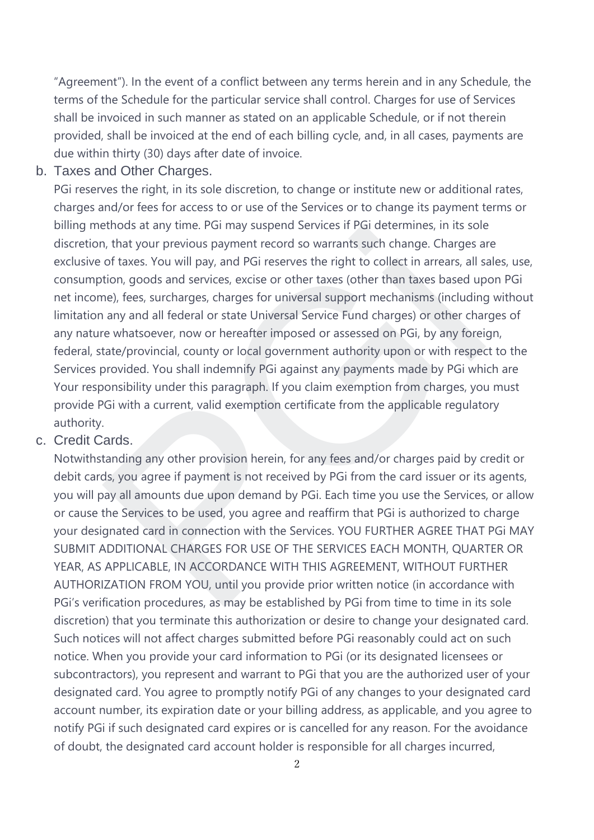"Agreement"). In the event of a conflict between any terms herein and in any Schedule, the terms of the Schedule for the particular service shall control. Charges for use of Services shall be invoiced in such manner as stated on an applicable Schedule, or if not therein provided, shall be invoiced at the end of each billing cycle, and, in all cases, payments are due within thirty (30) days after date of invoice.

#### b. Taxes and Other Charges.

PGi reserves the right, in its sole discretion, to change or institute new or additional rates, charges and/or fees for access to or use of the Services or to change its payment terms or billing methods at any time. PGi may suspend Services if PGi determines, in its sole discretion, that your previous payment record so warrants such change. Charges are exclusive of taxes. You will pay, and PGi reserves the right to collect in arrears, all sales, use, consumption, goods and services, excise or other taxes (other than taxes based upon PGi net income), fees, surcharges, charges for universal support mechanisms (including without limitation any and all federal or state Universal Service Fund charges) or other charges of any nature whatsoever, now or hereafter imposed or assessed on PGi, by any foreign, federal, state/provincial, county or local government authority upon or with respect to the Services provided. You shall indemnify PGi against any payments made by PGi which are Your responsibility under this paragraph. If you claim exemption from charges, you must provide PGi with a current, valid exemption certificate from the applicable regulatory authority. ethods at any time. Plai may suspend services ir Plai determines, in its sole<br>thods at any time. Plai may suspend services ir Plai determines, in its sole<br>of taxes. You will pay, and PGi reserves the right to collect in ar

#### c. Credit Cards.

Notwithstanding any other provision herein, for any fees and/or charges paid by credit or debit cards, you agree if payment is not received by PGi from the card issuer or its agents, you will pay all amounts due upon demand by PGi. Each time you use the Services, or allow or cause the Services to be used, you agree and reaffirm that PGi is authorized to charge your designated card in connection with the Services. YOU FURTHER AGREE THAT PGi MAY SUBMIT ADDITIONAL CHARGES FOR USE OF THE SERVICES EACH MONTH, QUARTER OR YEAR, AS APPLICABLE, IN ACCORDANCE WITH THIS AGREEMENT, WITHOUT FURTHER AUTHORIZATION FROM YOU, until you provide prior written notice (in accordance with PGi's verification procedures, as may be established by PGi from time to time in its sole discretion) that you terminate this authorization or desire to change your designated card. Such notices will not affect charges submitted before PGi reasonably could act on such notice. When you provide your card information to PGi (or its designated licensees or subcontractors), you represent and warrant to PGi that you are the authorized user of your designated card. You agree to promptly notify PGi of any changes to your designated card account number, its expiration date or your billing address, as applicable, and you agree to notify PGi if such designated card expires or is cancelled for any reason. For the avoidance of doubt, the designated card account holder is responsible for all charges incurred,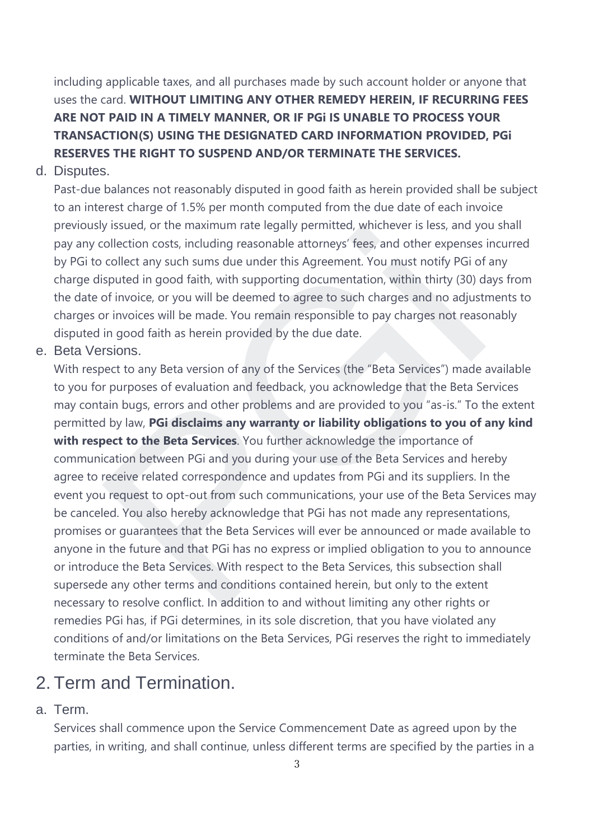including applicable taxes, and all purchases made by such account holder or anyone that uses the card. **WITHOUT LIMITING ANY OTHER REMEDY HEREIN, IF RECURRING FEES ARE NOT PAID IN A TIMELY MANNER, OR IF PGi IS UNABLE TO PROCESS YOUR TRANSACTION(S) USING THE DESIGNATED CARD INFORMATION PROVIDED, PGi RESERVES THE RIGHT TO SUSPEND AND/OR TERMINATE THE SERVICES.**

#### d. Disputes.

Past-due balances not reasonably disputed in good faith as herein provided shall be subject to an interest charge of 1.5% per month computed from the due date of each invoice previously issued, or the maximum rate legally permitted, whichever is less, and you shall pay any collection costs, including reasonable attorneys' fees, and other expenses incurred by PGi to collect any such sums due under this Agreement. You must notify PGi of any charge disputed in good faith, with supporting documentation, within thirty (30) days from the date of invoice, or you will be deemed to agree to such charges and no adjustments to charges or invoices will be made. You remain responsible to pay charges not reasonably disputed in good faith as herein provided by the due date.

#### e. Beta Versions.

With respect to any Beta version of any of the Services (the "Beta Services") made available to you for purposes of evaluation and feedback, you acknowledge that the Beta Services may contain bugs, errors and other problems and are provided to you "as-is." To the extent permitted by law, **PGi disclaims any warranty or liability obligations to you of any kind with respect to the Beta Services**. You further acknowledge the importance of communication between PGi and you during your use of the Beta Services and hereby agree to receive related correspondence and updates from PGi and its suppliers. In the event you request to opt-out from such communications, your use of the Beta Services may be canceled. You also hereby acknowledge that PGi has not made any representations, promises or guarantees that the Beta Services will ever be announced or made available to anyone in the future and that PGi has no express or implied obligation to you to announce or introduce the Beta Services. With respect to the Beta Services, this subsection shall supersede any other terms and conditions contained herein, but only to the extent necessary to resolve conflict. In addition to and without limiting any other rights or remedies PGi has, if PGi determines, in its sole discretion, that you have violated any conditions of and/or limitations on the Beta Services, PGi reserves the right to immediately terminate the Beta Services. by Issued, or the maximum rate legally permitted, whichever is less, and your<br>collection costs, including reasonable attorneys' fees, and other expenses<br>collect any such sums due under this Agreement. You must notify PGi o

# 2. Term and Termination.

#### a. Term.

Services shall commence upon the Service Commencement Date as agreed upon by the parties, in writing, and shall continue, unless different terms are specified by the parties in a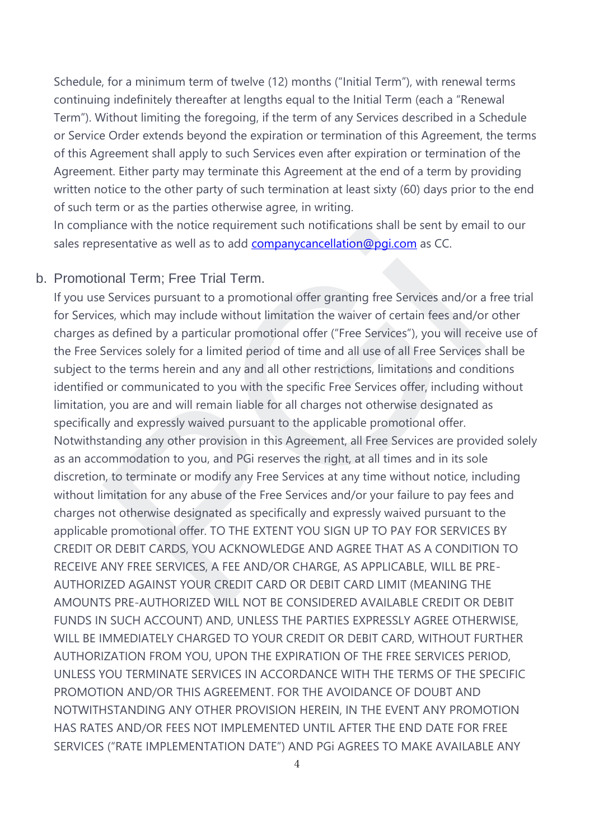Schedule, for a minimum term of twelve (12) months ("Initial Term"), with renewal terms continuing indefinitely thereafter at lengths equal to the Initial Term (each a "Renewal Term"). Without limiting the foregoing, if the term of any Services described in a Schedule or Service Order extends beyond the expiration or termination of this Agreement, the terms of this Agreement shall apply to such Services even after expiration or termination of the Agreement. Either party may terminate this Agreement at the end of a term by providing written notice to the other party of such termination at least sixty (60) days prior to the end of such term or as the parties otherwise agree, in writing.

In compliance with the notice requirement such notifications shall be sent by email to our sales representative as well as to add companycancellation@pgi.com as CC.

#### b. Promotional Term; Free Trial Term.

If you use Services pursuant to a promotional offer granting free Services and/or a free trial for Services, which may include without limitation the waiver of certain fees and/or other charges as defined by a particular promotional offer ("Free Services"), you will receive use of the Free Services solely for a limited period of time and all use of all Free Services shall be subject to the terms herein and any and all other restrictions, limitations and conditions identified or communicated to you with the specific Free Services offer, including without limitation, you are and will remain liable for all charges not otherwise designated as specifically and expressly waived pursuant to the applicable promotional offer. Notwithstanding any other provision in this Agreement, all Free Services are provided solely as an accommodation to you, and PGi reserves the right, at all times and in its sole discretion, to terminate or modify any Free Services at any time without notice, including without limitation for any abuse of the Free Services and/or your failure to pay fees and charges not otherwise designated as specifically and expressly waived pursuant to the applicable promotional offer. TO THE EXTENT YOU SIGN UP TO PAY FOR SERVICES BY CREDIT OR DEBIT CARDS, YOU ACKNOWLEDGE AND AGREE THAT AS A CONDITION TO RECEIVE ANY FREE SERVICES, A FEE AND/OR CHARGE, AS APPLICABLE, WILL BE PRE-AUTHORIZED AGAINST YOUR CREDIT CARD OR DEBIT CARD LIMIT (MEANING THE AMOUNTS PRE-AUTHORIZED WILL NOT BE CONSIDERED AVAILABLE CREDIT OR DEBIT FUNDS IN SUCH ACCOUNT) AND, UNLESS THE PARTIES EXPRESSLY AGREE OTHERWISE, WILL BE IMMEDIATELY CHARGED TO YOUR CREDIT OR DEBIT CARD, WITHOUT FURTHER AUTHORIZATION FROM YOU, UPON THE EXPIRATION OF THE FREE SERVICES PERIOD, UNLESS YOU TERMINATE SERVICES IN ACCORDANCE WITH THE TERMS OF THE SPECIFIC PROMOTION AND/OR THIS AGREEMENT. FOR THE AVOIDANCE OF DOUBT AND NOTWITHSTANDING ANY OTHER PROVISION HEREIN, IN THE EVENT ANY PROMOTION HAS RATES AND/OR FEES NOT IMPLEMENTED UNTIL AFTER THE END DATE FOR FREE SERVICES ("RATE IMPLEMENTATION DATE") AND PGi AGREES TO MAKE AVAILABLE ANY ance w[i](mailto:companycancellation@pgi.com)th the notice requirement such notincations shall be sent by emal<br>resentative as well as to add <u>companycancellation@pgi.com</u> as CC.<br>Danal Term; Free Trial Term.<br>Services pursuant to a promotional offer granting fre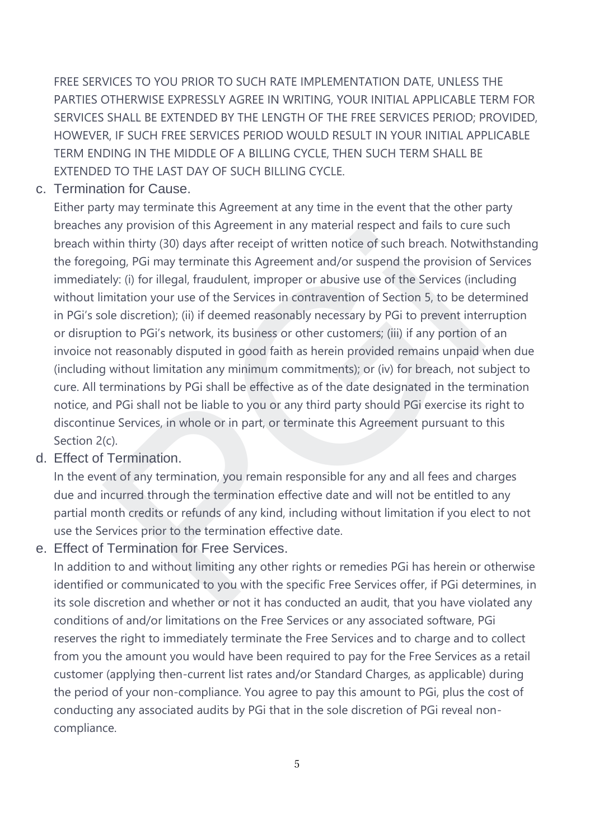FREE SERVICES TO YOU PRIOR TO SUCH RATE IMPLEMENTATION DATE, UNLESS THE PARTIES OTHERWISE EXPRESSLY AGREE IN WRITING, YOUR INITIAL APPLICABLE TERM FOR SERVICES SHALL BE EXTENDED BY THE LENGTH OF THE FREE SERVICES PERIOD; PROVIDED, HOWEVER, IF SUCH FREE SERVICES PERIOD WOULD RESULT IN YOUR INITIAL APPLICABLE TERM ENDING IN THE MIDDLE OF A BILLING CYCLE, THEN SUCH TERM SHALL BE EXTENDED TO THE LAST DAY OF SUCH BILLING CYCLE.

#### c. Termination for Cause.

Either party may terminate this Agreement at any time in the event that the other party breaches any provision of this Agreement in any material respect and fails to cure such breach within thirty (30) days after receipt of written notice of such breach. Notwithstanding the foregoing, PGi may terminate this Agreement and/or suspend the provision of Services immediately: (i) for illegal, fraudulent, improper or abusive use of the Services (including without limitation your use of the Services in contravention of Section 5, to be determined in PGi's sole discretion); (ii) if deemed reasonably necessary by PGi to prevent interruption or disruption to PGi's network, its business or other customers; (iii) if any portion of an invoice not reasonably disputed in good faith as herein provided remains unpaid when due (including without limitation any minimum commitments); or (iv) for breach, not subject to cure. All terminations by PGi shall be effective as of the date designated in the termination notice, and PGi shall not be liable to you or any third party should PGi exercise its right to discontinue Services, in whole or in part, or terminate this Agreement pursuant to this Section 2(c). any provision or this Agreement in any material respect and rails to cure<br>tithin thirty (30) days after receipt of written notice of such breach. Notivit<br>tion, PGi may terminate this Agreement and/or suspend the provision

#### d. Effect of Termination.

In the event of any termination, you remain responsible for any and all fees and charges due and incurred through the termination effective date and will not be entitled to any partial month credits or refunds of any kind, including without limitation if you elect to not use the Services prior to the termination effective date.

e. Effect of Termination for Free Services.

In addition to and without limiting any other rights or remedies PGi has herein or otherwise identified or communicated to you with the specific Free Services offer, if PGi determines, in its sole discretion and whether or not it has conducted an audit, that you have violated any conditions of and/or limitations on the Free Services or any associated software, PGi reserves the right to immediately terminate the Free Services and to charge and to collect from you the amount you would have been required to pay for the Free Services as a retail customer (applying then-current list rates and/or Standard Charges, as applicable) during the period of your non-compliance. You agree to pay this amount to PGi, plus the cost of conducting any associated audits by PGi that in the sole discretion of PGi reveal noncompliance.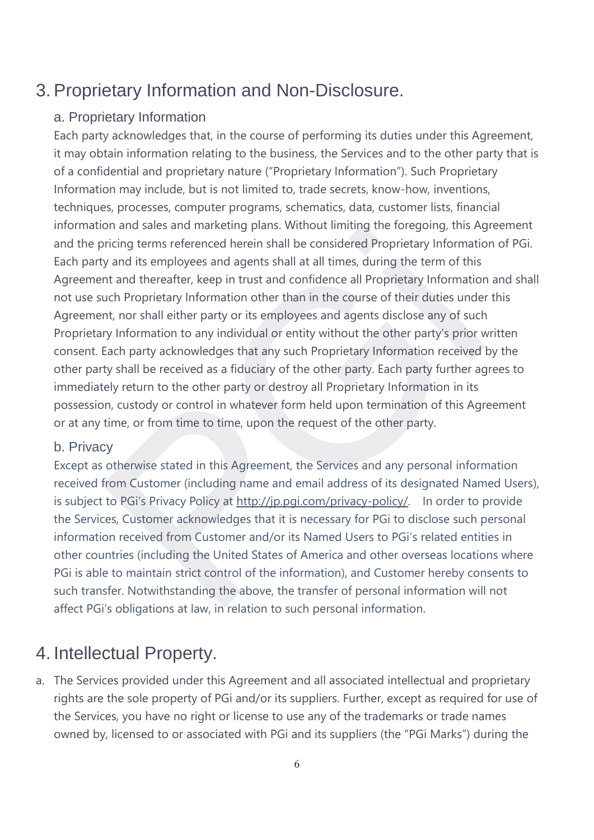## 3. Proprietary Information and Non-Disclosure.

## a. Proprietary Information

Each party acknowledges that, in the course of performing its duties under this Agreement, it may obtain information relating to the business, the Services and to the other party that is of a confidential and proprietary nature ("Proprietary Information"). Such Proprietary Information may include, but is not limited to, trade secrets, know-how, inventions, techniques, processes, computer programs, schematics, data, customer lists, financial information and sales and marketing plans. Without limiting the foregoing, this Agreement and the pricing terms referenced herein shall be considered Proprietary Information of PGi. Each party and its employees and agents shall at all times, during the term of this Agreement and thereafter, keep in trust and confidence all Proprietary Information and shall not use such Proprietary Information other than in the course of their duties under this Agreement, nor shall either party or its employees and agents disclose any of such Proprietary Information to any individual or entity without the other party's prior written consent. Each party acknowledges that any such Proprietary Information received by the other party shall be received as a fiduciary of the other party. Each party further agrees to immediately return to the other party or destroy all Proprietary Information in its possession, custody or control in whatever form held upon termination of this Agreement or at any time, or from time to time, upon the request of the other party. on and sales and marketing plans. Without limiting the foregoing, this Ago<br>pricing terms referenced herein shall be considered Proprietary Information<br>of y and its employees and agents shall at all times, during the term o

#### b. Privacy

Except as otherwise stated in this Agreement, the Services and any personal information received from Customer (including name and email address of its designated Named Users), is subject to PGi's Privacy Policy at http://jp.pgi.com/privacy-policy/. In order to provide the Services, Customer acknowledges that it is necessary for PGi to disclose such personal information received from Customer and/or its Named Users to PGi's related entities in other countries (including the United States of America and other overseas locations where PGi is able to maintain strict control of the information), and Customer hereby consents to such transfer. Notwithstanding the above, the transfer of personal information will not affect PGi's obligations at law, in relation to such personal information.

# 4. Intellectual Property.

a. The Services provided under this Agreement and all associated intellectual and proprietary rights are the sole property of PGi and/or its suppliers. Further, except as required for use of the Services, you have no right or license to use any of the trademarks or trade names owned by, licensed to or associated with PGi and its suppliers (the "PGi Marks") during the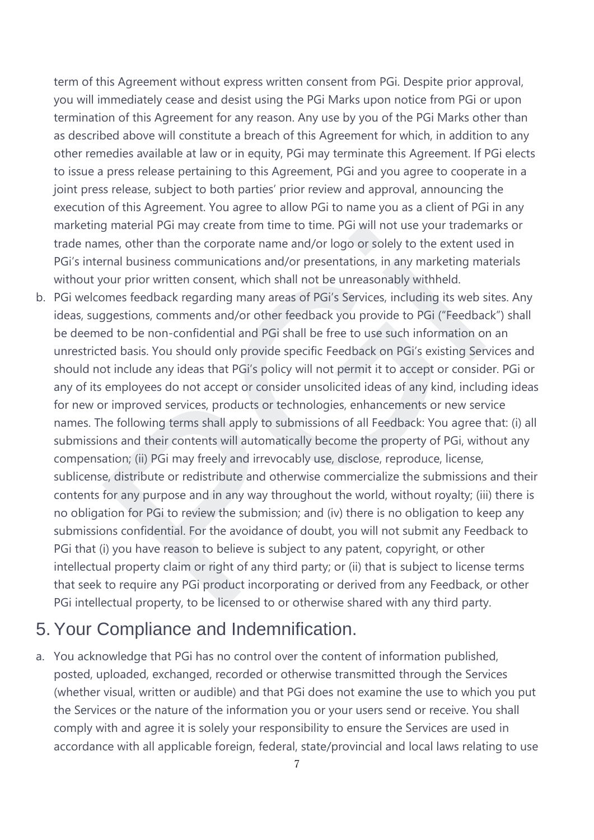term of this Agreement without express written consent from PGi. Despite prior approval, you will immediately cease and desist using the PGi Marks upon notice from PGi or upon termination of this Agreement for any reason. Any use by you of the PGi Marks other than as described above will constitute a breach of this Agreement for which, in addition to any other remedies available at law or in equity, PGi may terminate this Agreement. If PGi elects to issue a press release pertaining to this Agreement, PGi and you agree to cooperate in a joint press release, subject to both parties' prior review and approval, announcing the execution of this Agreement. You agree to allow PGi to name you as a client of PGi in any marketing material PGi may create from time to time. PGi will not use your trademarks or trade names, other than the corporate name and/or logo or solely to the extent used in PGi's internal business communications and/or presentations, in any marketing materials without your prior written consent, which shall not be unreasonably withheld.

b. PGi welcomes feedback regarding many areas of PGi's Services, including its web sites. Any ideas, suggestions, comments and/or other feedback you provide to PGi ("Feedback") shall be deemed to be non-confidential and PGi shall be free to use such information on an unrestricted basis. You should only provide specific Feedback on PGi's existing Services and should not include any ideas that PGi's policy will not permit it to accept or consider. PGi or any of its employees do not accept or consider unsolicited ideas of any kind, including ideas for new or improved services, products or technologies, enhancements or new service names. The following terms shall apply to submissions of all Feedback: You agree that: (i) all submissions and their contents will automatically become the property of PGi, without any compensation; (ii) PGi may freely and irrevocably use, disclose, reproduce, license, sublicense, distribute or redistribute and otherwise commercialize the submissions and their contents for any purpose and in any way throughout the world, without royalty; (iii) there is no obligation for PGi to review the submission; and (iv) there is no obligation to keep any submissions confidential. For the avoidance of doubt, you will not submit any Feedback to PGi that (i) you have reason to believe is subject to any patent, copyright, or other intellectual property claim or right of any third party; or (ii) that is subject to license terms that seek to require any PGi product incorporating or derived from any Feedback, or other PGi intellectual property, to be licensed to or otherwise shared with any third party. material PGI may create from time to time. PGI will not use your tradem<br>mens, other than the corporate name and/or logo or solely to the extent us<br>rmal business communications and/or presentations, in any marketing ma<br>our

# 5. Your Compliance and Indemnification.

a. You acknowledge that PGi has no control over the content of information published, posted, uploaded, exchanged, recorded or otherwise transmitted through the Services (whether visual, written or audible) and that PGi does not examine the use to which you put the Services or the nature of the information you or your users send or receive. You shall comply with and agree it is solely your responsibility to ensure the Services are used in accordance with all applicable foreign, federal, state/provincial and local laws relating to use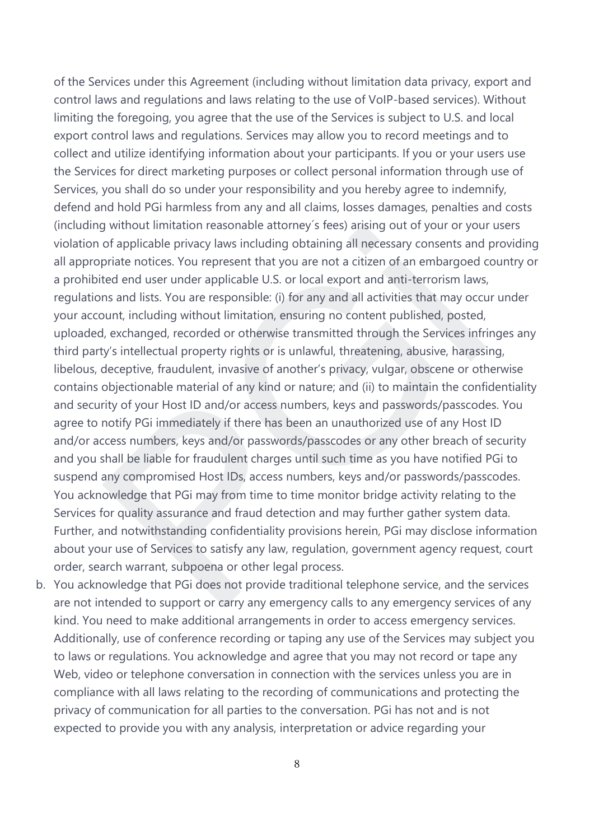of the Services under this Agreement (including without limitation data privacy, export and control laws and regulations and laws relating to the use of VoIP-based services). Without limiting the foregoing, you agree that the use of the Services is subject to U.S. and local export control laws and regulations. Services may allow you to record meetings and to collect and utilize identifying information about your participants. If you or your users use the Services for direct marketing purposes or collect personal information through use of Services, you shall do so under your responsibility and you hereby agree to indemnify, defend and hold PGi harmless from any and all claims, losses damages, penalties and costs (including without limitation reasonable attorney´s fees) arising out of your or your users violation of applicable privacy laws including obtaining all necessary consents and providing all appropriate notices. You represent that you are not a citizen of an embargoed country or a prohibited end user under applicable U.S. or local export and anti-terrorism laws, regulations and lists. You are responsible: (i) for any and all activities that may occur under your account, including without limitation, ensuring no content published, posted, uploaded, exchanged, recorded or otherwise transmitted through the Services infringes any third party's intellectual property rights or is unlawful, threatening, abusive, harassing, libelous, deceptive, fraudulent, invasive of another's privacy, vulgar, obscene or otherwise contains objectionable material of any kind or nature; and (ii) to maintain the confidentiality and security of your Host ID and/or access numbers, keys and passwords/passcodes. You agree to notify PGi immediately if there has been an unauthorized use of any Host ID and/or access numbers, keys and/or passwords/passcodes or any other breach of security and you shall be liable for fraudulent charges until such time as you have notified PGi to suspend any compromised Host IDs, access numbers, keys and/or passwords/passcodes. You acknowledge that PGi may from time to time monitor bridge activity relating to the Services for quality assurance and fraud detection and may further gather system data. Further, and notwithstanding confidentiality provisions herein, PGi may disclose information about your use of Services to satisfy any law, regulation, government agency request, court order, search warrant, subpoena or other legal process. y without limitation reasonable attomey s rees) arising out of your or you<br>of applicable privary laws including obtaining all necessary consents and<br>orintae notices. You represent that you are not a citizen of an embrapoed

b. You acknowledge that PGi does not provide traditional telephone service, and the services are not intended to support or carry any emergency calls to any emergency services of any kind. You need to make additional arrangements in order to access emergency services. Additionally, use of conference recording or taping any use of the Services may subject you to laws or regulations. You acknowledge and agree that you may not record or tape any Web, video or telephone conversation in connection with the services unless you are in compliance with all laws relating to the recording of communications and protecting the privacy of communication for all parties to the conversation. PGi has not and is not expected to provide you with any analysis, interpretation or advice regarding your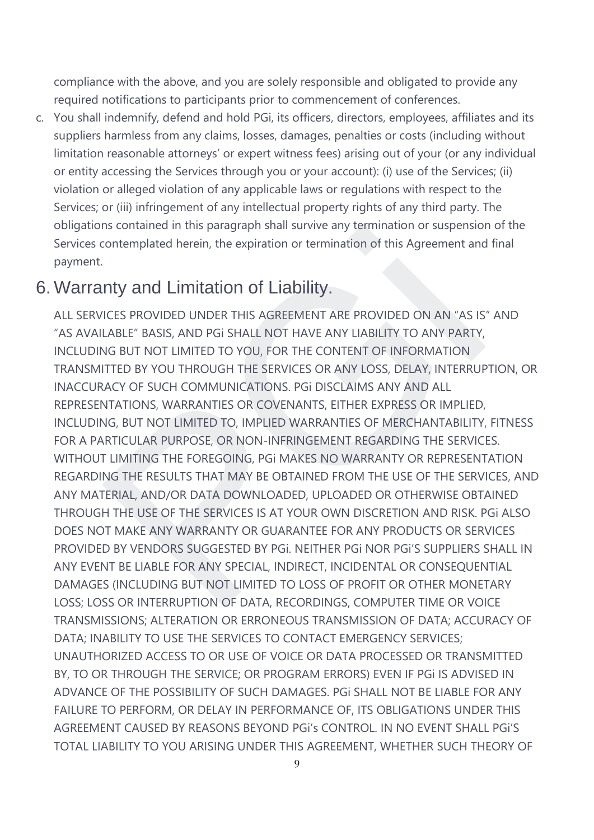compliance with the above, and you are solely responsible and obligated to provide any required notifications to participants prior to commencement of conferences.

c. You shall indemnify, defend and hold PGi, its officers, directors, employees, affiliates and its suppliers harmless from any claims, losses, damages, penalties or costs (including without limitation reasonable attorneys' or expert witness fees) arising out of your (or any individual or entity accessing the Services through you or your account): (i) use of the Services; (ii) violation or alleged violation of any applicable laws or regulations with respect to the Services; or (iii) infringement of any intellectual property rights of any third party. The obligations contained in this paragraph shall survive any termination or suspension of the Services contemplated herein, the expiration or termination of this Agreement and final payment.

## 6. Warranty and Limitation of Liability.

ALL SERVICES PROVIDED UNDER THIS AGREEMENT ARE PROVIDED ON AN "AS IS" AND "AS AVAILABLE" BASIS, AND PGi SHALL NOT HAVE ANY LIABILITY TO ANY PARTY, INCLUDING BUT NOT LIMITED TO YOU, FOR THE CONTENT OF INFORMATION TRANSMITTED BY YOU THROUGH THE SERVICES OR ANY LOSS, DELAY, INTERRUPTION, OR INACCURACY OF SUCH COMMUNICATIONS. PGi DISCLAIMS ANY AND ALL REPRESENTATIONS, WARRANTIES OR COVENANTS, EITHER EXPRESS OR IMPLIED, INCLUDING, BUT NOT LIMITED TO, IMPLIED WARRANTIES OF MERCHANTABILITY, FITNESS FOR A PARTICULAR PURPOSE, OR NON-INFRINGEMENT REGARDING THE SERVICES. WITHOUT LIMITING THE FOREGOING, PGi MAKES NO WARRANTY OR REPRESENTATION REGARDING THE RESULTS THAT MAY BE OBTAINED FROM THE USE OF THE SERVICES, AND ANY MATERIAL, AND/OR DATA DOWNLOADED, UPLOADED OR OTHERWISE OBTAINED THROUGH THE USE OF THE SERVICES IS AT YOUR OWN DISCRETION AND RISK. PGi ALSO DOES NOT MAKE ANY WARRANTY OR GUARANTEE FOR ANY PRODUCTS OR SERVICES PROVIDED BY VENDORS SUGGESTED BY PGi. NEITHER PGi NOR PGi'S SUPPLIERS SHALL IN ANY EVENT BE LIABLE FOR ANY SPECIAL, INDIRECT, INCIDENTAL OR CONSEQUENTIAL DAMAGES (INCLUDING BUT NOT LIMITED TO LOSS OF PROFIT OR OTHER MONETARY LOSS; LOSS OR INTERRUPTION OF DATA, RECORDINGS, COMPUTER TIME OR VOICE TRANSMISSIONS; ALTERATION OR ERRONEOUS TRANSMISSION OF DATA; ACCURACY OF DATA; INABILITY TO USE THE SERVICES TO CONTACT EMERGENCY SERVICES; UNAUTHORIZED ACCESS TO OR USE OF VOICE OR DATA PROCESSED OR TRANSMITTED BY, TO OR THROUGH THE SERVICE; OR PROGRAM ERRORS) EVEN IF PGi IS ADVISED IN ADVANCE OF THE POSSIBILITY OF SUCH DAMAGES. PGi SHALL NOT BE LIABLE FOR ANY FAILURE TO PERFORM, OR DELAY IN PERFORMANCE OF, ITS OBLIGATIONS UNDER THIS AGREEMENT CAUSED BY REASONS BEYOND PGi's CONTROL. IN NO EVENT SHALL PGi'S TOTAL LIABILITY TO YOU ARISING UNDER THIS AGREEMENT, WHETHER SUCH THEORY OF is contained in this paragraph shall survive any termination or suspension<br>contemplated herein, the expiration or termination of this Agreement and<br>**My and Limitation of Liability.**<br>The same and the same and the same of th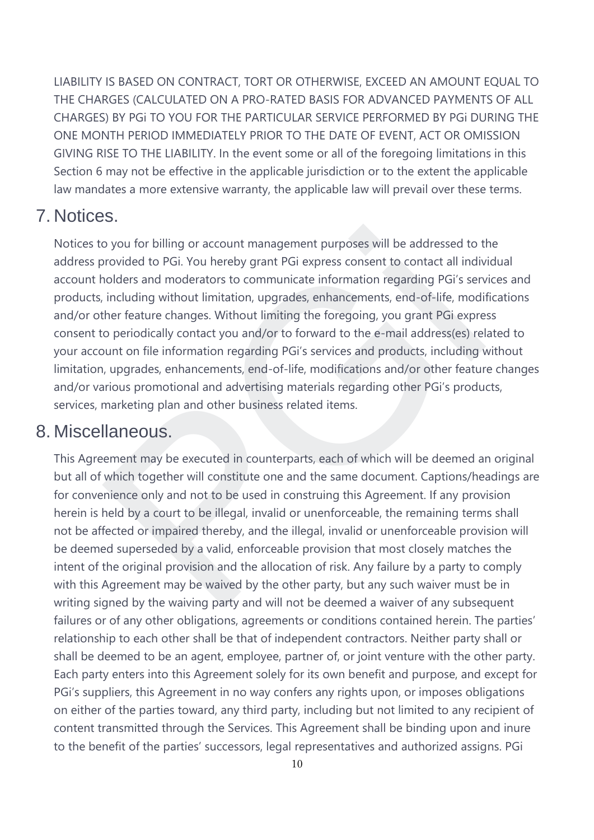LIABILITY IS BASED ON CONTRACT, TORT OR OTHERWISE, EXCEED AN AMOUNT EQUAL TO THE CHARGES (CALCULATED ON A PRO-RATED BASIS FOR ADVANCED PAYMENTS OF ALL CHARGES) BY PGi TO YOU FOR THE PARTICULAR SERVICE PERFORMED BY PGi DURING THE ONE MONTH PERIOD IMMEDIATELY PRIOR TO THE DATE OF EVENT, ACT OR OMISSION GIVING RISE TO THE LIABILITY. In the event some or all of the foregoing limitations in this Section 6 may not be effective in the applicable jurisdiction or to the extent the applicable law mandates a more extensive warranty, the applicable law will prevail over these terms.

## 7. Notices.

Notices to you for billing or account management purposes will be addressed to the address provided to PGi. You hereby grant PGi express consent to contact all individual account holders and moderators to communicate information regarding PGi's services and products, including without limitation, upgrades, enhancements, end-of-life, modifications and/or other feature changes. Without limiting the foregoing, you grant PGi express consent to periodically contact you and/or to forward to the e-mail address(es) related to your account on file information regarding PGi's services and products, including without limitation, upgrades, enhancements, end-of-life, modifications and/or other feature changes and/or various promotional and advertising materials regarding other PGi's products, services, marketing plan and other business related items. by oy ou for billing or account management purposes will be addressed to the provided to PGi. You hereby grant PGi express consent to contact all indivioleters and moderators to communicate information regarding PGi's serv

## 8. Miscellaneous.

This Agreement may be executed in counterparts, each of which will be deemed an original but all of which together will constitute one and the same document. Captions/headings are for convenience only and not to be used in construing this Agreement. If any provision herein is held by a court to be illegal, invalid or unenforceable, the remaining terms shall not be affected or impaired thereby, and the illegal, invalid or unenforceable provision will be deemed superseded by a valid, enforceable provision that most closely matches the intent of the original provision and the allocation of risk. Any failure by a party to comply with this Agreement may be waived by the other party, but any such waiver must be in writing signed by the waiving party and will not be deemed a waiver of any subsequent failures or of any other obligations, agreements or conditions contained herein. The parties' relationship to each other shall be that of independent contractors. Neither party shall or shall be deemed to be an agent, employee, partner of, or joint venture with the other party. Each party enters into this Agreement solely for its own benefit and purpose, and except for PGi's suppliers, this Agreement in no way confers any rights upon, or imposes obligations on either of the parties toward, any third party, including but not limited to any recipient of content transmitted through the Services. This Agreement shall be binding upon and inure to the benefit of the parties' successors, legal representatives and authorized assigns. PGi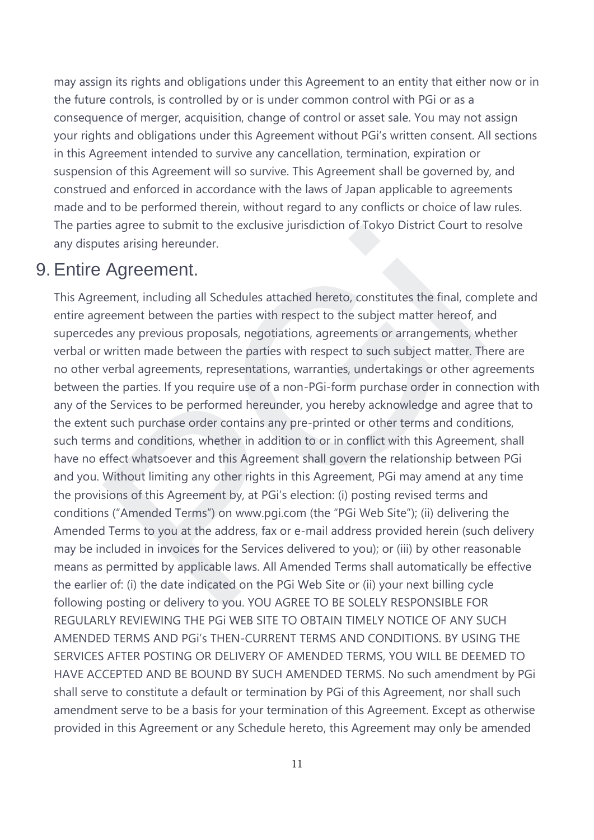may assign its rights and obligations under this Agreement to an entity that either now or in the future controls, is controlled by or is under common control with PGi or as a consequence of merger, acquisition, change of control or asset sale. You may not assign your rights and obligations under this Agreement without PGi's written consent. All sections in this Agreement intended to survive any cancellation, termination, expiration or suspension of this Agreement will so survive. This Agreement shall be governed by, and construed and enforced in accordance with the laws of Japan applicable to agreements made and to be performed therein, without regard to any conflicts or choice of law rules. The parties agree to submit to the exclusive jurisdiction of Tokyo District Court to resolve any disputes arising hereunder.

## 9. Entire Agreement.

This Agreement, including all Schedules attached hereto, constitutes the final, complete and entire agreement between the parties with respect to the subject matter hereof, and supercedes any previous proposals, negotiations, agreements or arrangements, whether verbal or written made between the parties with respect to such subject matter. There are no other verbal agreements, representations, warranties, undertakings or other agreements between the parties. If you require use of a non-PGi-form purchase order in connection with any of the Services to be performed hereunder, you hereby acknowledge and agree that to the extent such purchase order contains any pre-printed or other terms and conditions, such terms and conditions, whether in addition to or in conflict with this Agreement, shall have no effect whatsoever and this Agreement shall govern the relationship between PGi and you. Without limiting any other rights in this Agreement, PGi may amend at any time the provisions of this Agreement by, at PGi's election: (i) posting revised terms and conditions ("Amended Terms") on www.pgi.com (the "PGi Web Site"); (ii) delivering the Amended Terms to you at the address, fax or e-mail address provided herein (such delivery may be included in invoices for the Services delivered to you); or (iii) by other reasonable means as permitted by applicable laws. All Amended Terms shall automatically be effective the earlier of: (i) the date indicated on the PGi Web Site or (ii) your next billing cycle following posting or delivery to you. YOU AGREE TO BE SOLELY RESPONSIBLE FOR REGULARLY REVIEWING THE PGi WEB SITE TO OBTAIN TIMELY NOTICE OF ANY SUCH AMENDED TERMS AND PGi's THEN-CURRENT TERMS AND CONDITIONS. BY USING THE SERVICES AFTER POSTING OR DELIVERY OF AMENDED TERMS, YOU WILL BE DEEMED TO HAVE ACCEPTED AND BE BOUND BY SUCH AMENDED TERMS. No such amendment by PGi shall serve to constitute a default or termination by PGi of this Agreement, nor shall such amendment serve to be a basis for your termination of this Agreement. Except as otherwise provided in this Agreement or any Schedule hereto, this Agreement may only be amended is agree to submit to the exclusive jurisdiction or Tokyo District Court to<br>thes arising hereunder.<br> **Agreement**, including all Schedules attached hereto, constitutes the final, com<br>
recement between the parties with respe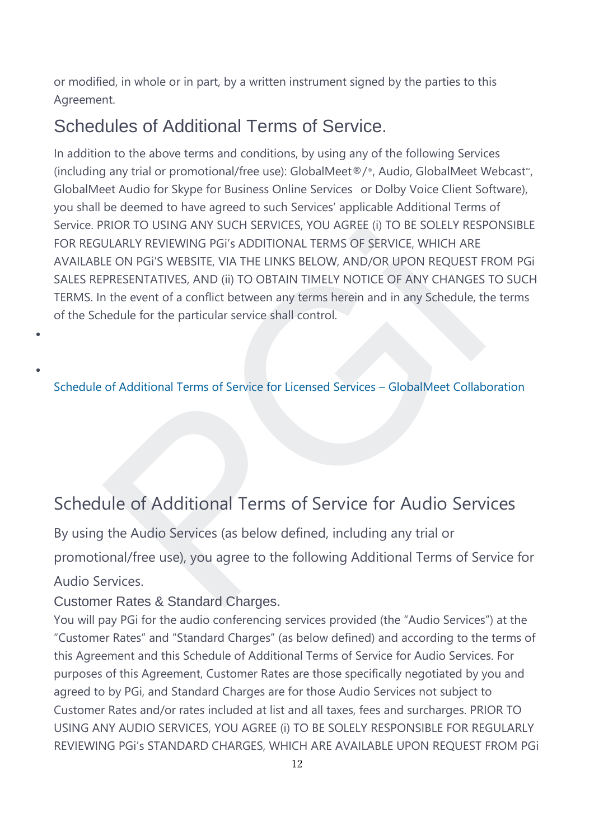or modified, in whole or in part, by a written instrument signed by the parties to this Agreement.

# Schedules of Additional Terms of Service.

In addition to the above terms and conditions, by using any of the following Services (including any trial or promotional/free use): GlobalMeet®/®, Audio, GlobalMeet Webcast™, GlobalMeet Audio for Skype for Business Online Services or Dolby Voice Client Software), you shall be deemed to have agreed to such Services' applicable Additional Terms of Service. PRIOR TO USING ANY SUCH SERVICES, YOU AGREE (i) TO BE SOLELY RESPONSIBLE FOR REGULARLY REVIEWING PGi's ADDITIONAL TERMS OF SERVICE, WHICH ARE AVAILABLE ON PGi'S WEBSITE, VIA THE LINKS BELOW, AND/OR UPON REQUEST FROM PGi SALES REPRESENTATIVES, AND (ii) TO OBTAIN TIMELY NOTICE OF ANY CHANGES TO SUCH TERMS. In the event of a conflict between any terms herein and in any Schedule, the terms of the Schedule for the particular service shall control. KIOK TO USING ANY SUCH SERVICES, YOU AGKEE (I) TO BE SOLELY KESK<br>ULARLY REVIEWING [PG](http://premiere-marketing.jp/wp-content/uploads/2019/11/Schedule-of-Additional-Terms-of-Service-for-Licensed-Service-GM-Collaboration_Eng.pdf)I's ADDITIONAL TERMS OF SERVICE, WHICH ARE<br>LE ON PGI'S WEBSITE, VIA THE LINKS BELOW, AND/OR UPON REQUEST F<br>PRESENTATIVES, AND (ii) TO OBTA

Schedule of Additional Terms of Service for Licensed Services – GlobalMeet Collaboration

# Schedule of Additional Terms of Service for Audio Services

By using the Audio Services (as below defined, including any trial or promotional/free use), you agree to the following Additional Terms of Service for Audio Services.

## Customer Rates & Standard Charges.

•

•

You will pay PGi for the audio conferencing services provided (the "Audio Services") at the "Customer Rates" and "Standard Charges" (as below defined) and according to the terms of this Agreement and this Schedule of Additional Terms of Service for Audio Services. For purposes of this Agreement, Customer Rates are those specifically negotiated by you and agreed to by PGi, and Standard Charges are for those Audio Services not subject to Customer Rates and/or rates included at list and all taxes, fees and surcharges. PRIOR TO USING ANY AUDIO SERVICES, YOU AGREE (i) TO BE SOLELY RESPONSIBLE FOR REGULARLY REVIEWING PGi's STANDARD CHARGES, WHICH ARE AVAILABLE UPON REQUEST FROM PGi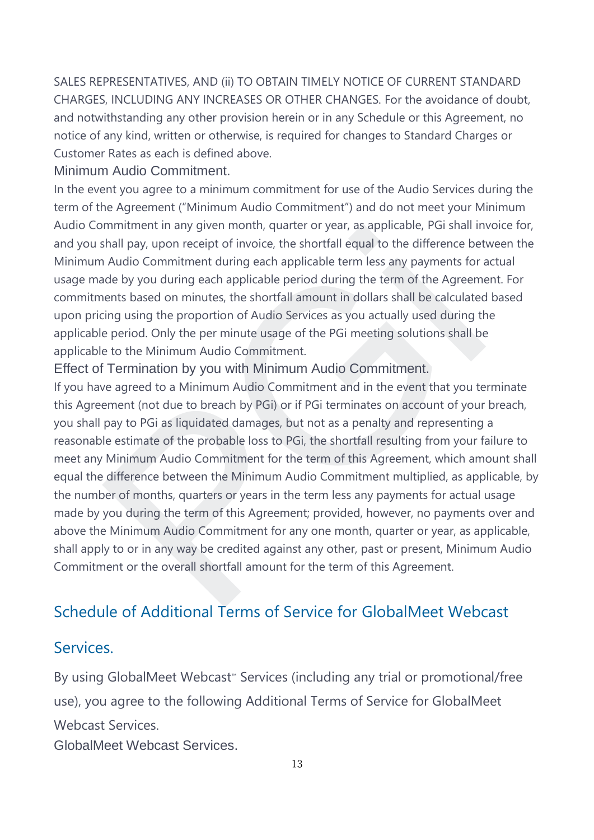SALES REPRESENTATIVES, AND (ii) TO OBTAIN TIMELY NOTICE OF CURRENT STANDARD CHARGES, INCLUDING ANY INCREASES OR OTHER CHANGES. For the avoidance of doubt, and notwithstanding any other provision herein or in any Schedule or this Agreement, no notice of any kind, written or otherwise, is required for changes to Standard Charges or Customer Rates as each is defined above.

#### Minimum Audio Commitment.

In the event you agree to a minimum commitment for use of the Audio Services during the term of the Agreement ("Minimum Audio Commitment") and do not meet your Minimum Audio Commitment in any given month, quarter or year, as applicable, PGi shall invoice for, and you shall pay, upon receipt of invoice, the shortfall equal to the difference between the Minimum Audio Commitment during each applicable term less any payments for actual usage made by you during each applicable period during the term of the Agreement. For commitments based on minutes, the shortfall amount in dollars shall be calculated based upon pricing using the proportion of Audio Services as you actually used during the applicable period. Only the per minute usage of the PGi meeting solutions shall be applicable to the Minimum Audio Commitment.

Effect of Termination by you with Minimum Audio Commitment.

If you have agreed to a Minimum Audio Commitment and in the event that you terminate this Agreement (not due to breach by PGi) or if PGi terminates on account of your breach, you shall pay to PGi as liquidated damages, but not as a penalty and representing a reasonable estimate of the probable loss to PGi, the shortfall resulting from your failure to meet any Minimum Audio Commitment for the term of this Agreement, which amount shall equal the difference between the Minimum Audio Commitment multiplied, as applicable, by the number of months, quarters or years in the term less any payments for actual usage made by you during the term of this Agreement; provided, however, no payments over and above the Minimum Audio Commitment for any one month, quarter or year, as applicable, shall apply to or in any way be credited against any other, past or present, Minimum Audio Commitment or the overall shortfall amount for the term of this Agreement. mmitment in any given month, quarter or year, as applicable, PGI shall In<br>
hall pay, upon receipt of invoice, the shortfall equal to the difference bet<br>
A Audio Commitment during each applicable term less any payments for

## [Schedule of Additional Terms of Service for GlobalMeet Webcast](https://www.pgi.com/terms-of-service/imeet-globalmeet/)

## [Services.](https://www.pgi.com/terms-of-service/imeet-globalmeet/)

By using GlobalMeet Webcast<sup>™</sup> Services (including any trial or promotional/free use), you agree to the following Additional Terms of Service for GlobalMeet Webcast Services.

GlobalMeet Webcast Services.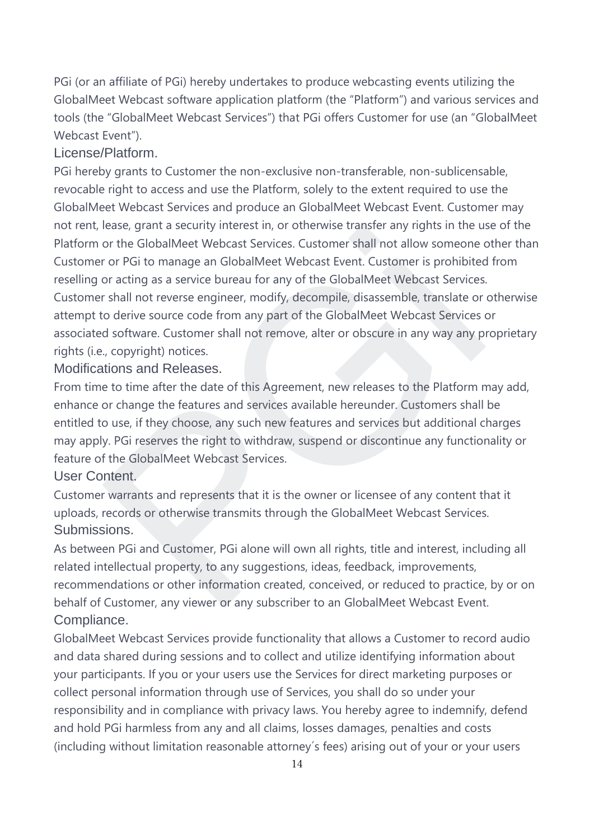PGi (or an affiliate of PGi) hereby undertakes to produce webcasting events utilizing the GlobalMeet Webcast software application platform (the "Platform") and various services and tools (the "GlobalMeet Webcast Services") that PGi offers Customer for use (an "GlobalMeet Webcast Event").

### License/Platform.

PGi hereby grants to Customer the non-exclusive non-transferable, non-sublicensable, revocable right to access and use the Platform, solely to the extent required to use the GlobalMeet Webcast Services and produce an GlobalMeet Webcast Event. Customer may not rent, lease, grant a security interest in, or otherwise transfer any rights in the use of the Platform or the GlobalMeet Webcast Services. Customer shall not allow someone other than Customer or PGi to manage an GlobalMeet Webcast Event. Customer is prohibited from reselling or acting as a service bureau for any of the GlobalMeet Webcast Services. Customer shall not reverse engineer, modify, decompile, disassemble, translate or otherwise attempt to derive source code from any part of the GlobalMeet Webcast Services or associated software. Customer shall not remove, alter or obscure in any way any proprietary rights (i.e., copyright) notices. rease, grant a security interest in, or otherwise transfer any rights in the u<br>or the GlobalMeet Webcast Services. Customer shall not allow someone<br>or or PGi to manage an GlobalMeet Webcast Services or or or or or or or or

### Modifications and Releases.

From time to time after the date of this Agreement, new releases to the Platform may add, enhance or change the features and services available hereunder. Customers shall be entitled to use, if they choose, any such new features and services but additional charges may apply. PGi reserves the right to withdraw, suspend or discontinue any functionality or feature of the GlobalMeet Webcast Services.

### User Content.

Customer warrants and represents that it is the owner or licensee of any content that it uploads, records or otherwise transmits through the GlobalMeet Webcast Services. Submissions.

As between PGi and Customer, PGi alone will own all rights, title and interest, including all related intellectual property, to any suggestions, ideas, feedback, improvements, recommendations or other information created, conceived, or reduced to practice, by or on behalf of Customer, any viewer or any subscriber to an GlobalMeet Webcast Event. Compliance.

GlobalMeet Webcast Services provide functionality that allows a Customer to record audio and data shared during sessions and to collect and utilize identifying information about your participants. If you or your users use the Services for direct marketing purposes or collect personal information through use of Services, you shall do so under your responsibility and in compliance with privacy laws. You hereby agree to indemnify, defend and hold PGi harmless from any and all claims, losses damages, penalties and costs (including without limitation reasonable attorney´s fees) arising out of your or your users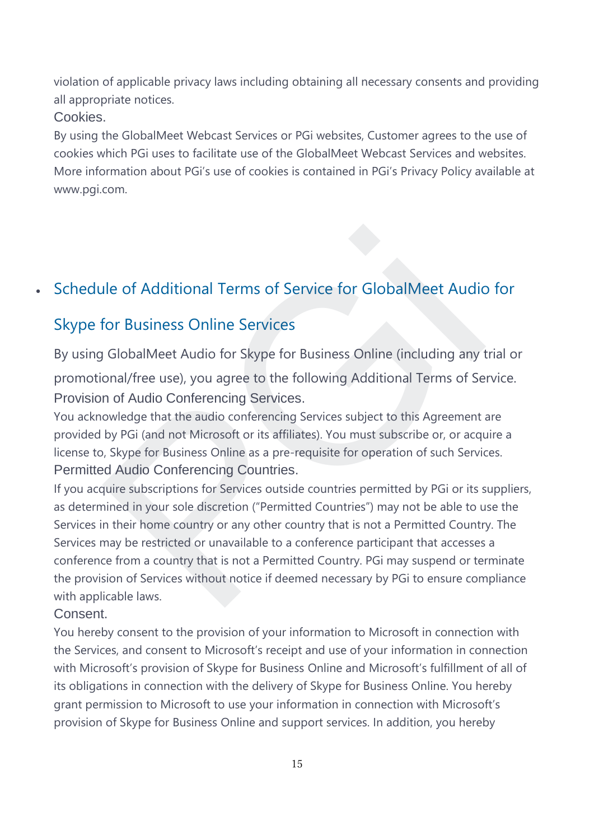violation of applicable privacy laws including obtaining all necessary consents and providing all appropriate notices.

## Cookies.

By using the GlobalMeet Webcast Services or PGi websites, Customer agrees to the use of cookies which PGi uses to facilitate use of the GlobalMeet Webcast Services and websites. More information about PGi's use of cookies is contained in PGi's Privacy Policy available at www.pgi.com.

## • Schedule of Additional Terms of Service for GlobalMeet Audio for

## Skype for Business Online Services

By using GlobalMeet Audio for Skype for Business Online (including any trial or promotional/free use), you agree to the following Additional Terms of Service. Provision of Audio Conferencing Services.

You acknowledge that the audio conferencing Services subject to this Agreement are provided by PGi (and not Microsoft or its affiliates). You must subscribe or, or acquire a license to, Skype for Business Online as a pre-requisite for operation of such Services. Permitted Audio Conferencing Countries.

If you acquire subscriptions for Services outside countries permitted by PGi or its suppliers, as determined in your sole discretion ("Permitted Countries") may not be able to use the Services in their home country or any other country that is not a Permitted Country. The Services may be restricted or unavailable to a conference participant that accesses a conference from a country that is not a Permitted Country. PGi may suspend or terminate the provision of Services without notice if deemed necessary by PGi to ensure compliance with applicable laws. alle of Additional Terms of Service for GlobalMeet Audic<br>for Business Online Services<br>GlobalMeet Audio for Skype for Business Online (including any tonal/free use), you agree to the following Additional Terms of Se<br>n of Au

### Consent.

You hereby consent to the provision of your information to Microsoft in connection with the Services, and consent to Microsoft's receipt and use of your information in connection with Microsoft's provision of Skype for Business Online and Microsoft's fulfillment of all of its obligations in connection with the delivery of Skype for Business Online. You hereby grant permission to Microsoft to use your information in connection with Microsoft's provision of Skype for Business Online and support services. In addition, you hereby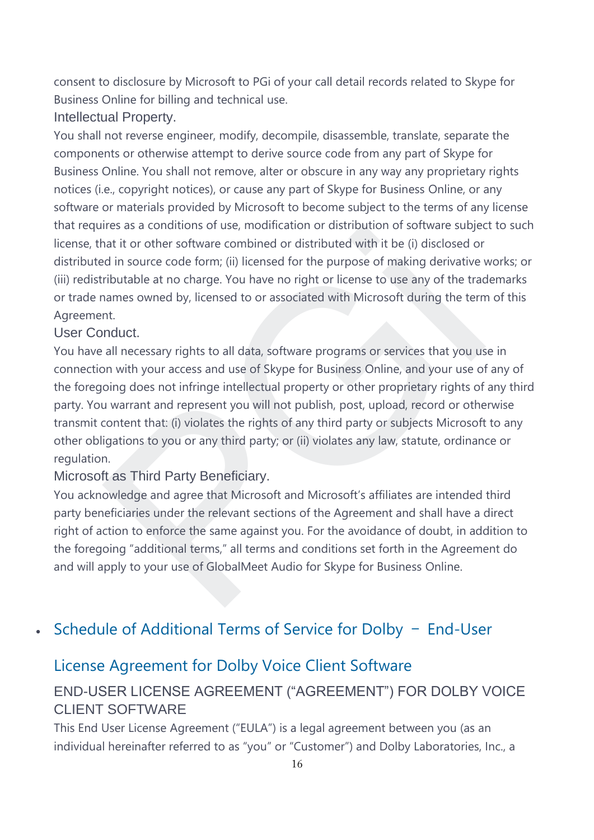consent to disclosure by Microsoft to PGi of your call detail records related to Skype for Business Online for billing and technical use.

Intellectual Property.

You shall not reverse engineer, modify, decompile, disassemble, translate, separate the components or otherwise attempt to derive source code from any part of Skype for Business Online. You shall not remove, alter or obscure in any way any proprietary rights notices (i.e., copyright notices), or cause any part of Skype for Business Online, or any software or materials provided by Microsoft to become subject to the terms of any license that requires as a conditions of use, modification or distribution of software subject to such license, that it or other software combined or distributed with it be (i) disclosed or distributed in source code form; (ii) licensed for the purpose of making derivative works; or (iii) redistributable at no charge. You have no right or license to use any of the trademarks or trade names owned by, licensed to or associated with Microsoft during the term of this Agreement.

### User Conduct.

You have all necessary rights to all data, software programs or services that you use in connection with your access and use of Skype for Business Online, and your use of any of the foregoing does not infringe intellectual property or other proprietary rights of any third party. You warrant and represent you will not publish, post, upload, record or otherwise transmit content that: (i) violates the rights of any third party or subjects Microsoft to any other obligations to you or any third party; or (ii) violates any law, statute, ordinance or regulation. ares as a conditions of use, modification of distribution of software subjected of in source code form; (ii) licensed or the purpose of making derivative distributable at no charge. You have no right or the purpose of maki

Microsoft as Third Party Beneficiary.

You acknowledge and agree that Microsoft and Microsoft's affiliates are intended third party beneficiaries under the relevant sections of the Agreement and shall have a direct right of action to enforce the same against you. For the avoidance of doubt, in addition to the foregoing "additional terms," all terms and conditions set forth in the Agreement do and will apply to your use of GlobalMeet Audio for Skype for Business Online.

## • [Schedule of Additional Terms of Service for Dolby](https://www.pgi.com/terms-of-service/imeet-globalmeet/) – End-User

## [License Agreement for Dolby Voice Client Software](https://www.pgi.com/terms-of-service/imeet-globalmeet/)

## END-USER LICENSE AGREEMENT ("AGREEMENT") FOR DOLBY VOICE CLIENT SOFTWARE

This End User License Agreement ("EULA") is a legal agreement between you (as an individual hereinafter referred to as "you" or "Customer") and Dolby Laboratories, Inc., a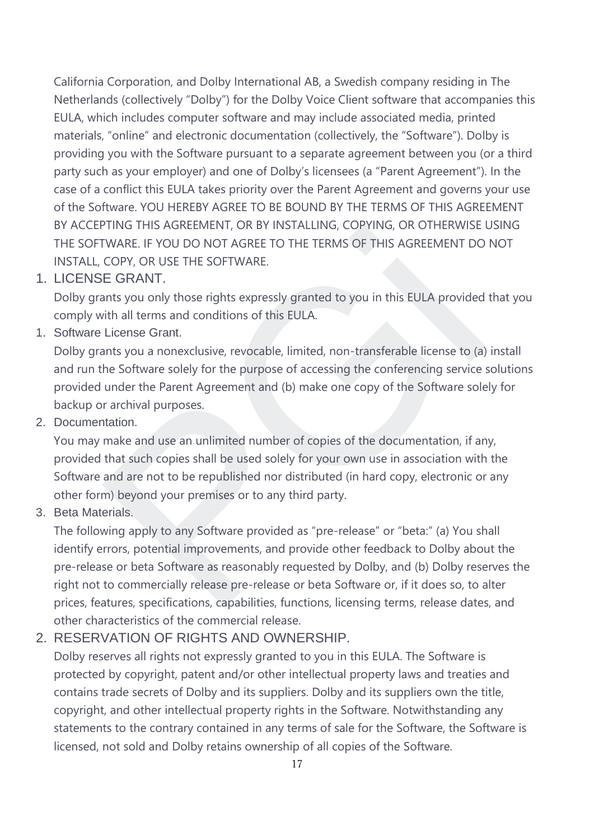California Corporation, and Dolby International AB, a Swedish company residing in The Netherlands (collectively "Dolby") for the Dolby Voice Client software that accompanies this EULA, which includes computer software and may include associated media, printed materials, "online" and electronic documentation (collectively, the "Software"). Dolby is providing you with the Software pursuant to a separate agreement between you (or a third party such as your employer) and one of Dolby's licensees (a "Parent Agreement"). In the case of a conflict this EULA takes priority over the Parent Agreement and governs your use of the Software. YOU HEREBY AGREE TO BE BOUND BY THE TERMS OF THIS AGREEMENT BY ACCEPTING THIS AGREEMENT, OR BY INSTALLING, COPYING, OR OTHERWISE USING THE SOFTWARE. IF YOU DO NOT AGREE TO THE TERMS OF THIS AGREEMENT DO NOT INSTALL, COPY, OR USE THE SOFTWARE.

1. LICENSE GRANT.

Dolby grants you only those rights expressly granted to you in this EULA provided that you comply with all terms and conditions of this EULA.

1. Software License Grant.

Dolby grants you a nonexclusive, revocable, limited, non-transferable license to (a) install and run the Software solely for the purpose of accessing the conferencing service solutions provided under the Parent Agreement and (b) make one copy of the Software solely for backup or archival purposes.

2. Documentation.

You may make and use an unlimited number of copies of the documentation, if any, provided that such copies shall be used solely for your own use in association with the Software and are not to be republished nor distributed (in hard copy, electronic or any other form) beyond your premises or to any third party.

3. Beta Materials.

The following apply to any Software provided as "pre-release" or "beta:" (a) You shall identify errors, potential improvements, and provide other feedback to Dolby about the pre-release or beta Software as reasonably requested by Dolby, and (b) Dolby reserves the right not to commercially release pre-release or beta Software or, if it does so, to alter prices, features, specifications, capabilities, functions, licensing terms, release dates, and other characteristics of the commercial release. TING THIS AGKEEMENT, OK BY INSTALLING, COPYING, OK OTHEKWISE<br>TWARE. IF YOU DO NOT AGREE TO THE TERMS OF THIS AGREEMENT DO<br>COPY, OR USE THE SOFTWARE.<br>COPY, OR USE THE SOFTWARE.<br>E GRANT.<br>Hans you only those rights expressly

## 2. RESERVATION OF RIGHTS AND OWNERSHIP.

Dolby reserves all rights not expressly granted to you in this EULA. The Software is protected by copyright, patent and/or other intellectual property laws and treaties and contains trade secrets of Dolby and its suppliers. Dolby and its suppliers own the title, copyright, and other intellectual property rights in the Software. Notwithstanding any statements to the contrary contained in any terms of sale for the Software, the Software is licensed, not sold and Dolby retains ownership of all copies of the Software.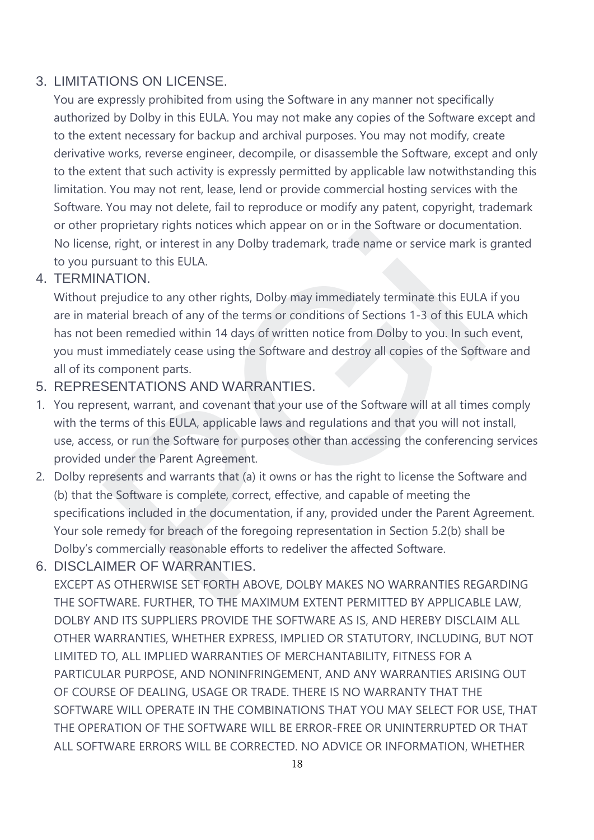## 3. LIMITATIONS ON LICENSE.

You are expressly prohibited from using the Software in any manner not specifically authorized by Dolby in this EULA. You may not make any copies of the Software except and to the extent necessary for backup and archival purposes. You may not modify, create derivative works, reverse engineer, decompile, or disassemble the Software, except and only to the extent that such activity is expressly permitted by applicable law notwithstanding this limitation. You may not rent, lease, lend or provide commercial hosting services with the Software. You may not delete, fail to reproduce or modify any patent, copyright, trademark or other proprietary rights notices which appear on or in the Software or documentation. No license, right, or interest in any Dolby trademark, trade name or service mark is granted to you pursuant to this EULA.

## 4. TERMINATION.

Without prejudice to any other rights, Dolby may immediately terminate this EULA if you are in material breach of any of the terms or conditions of Sections 1-3 of this EULA which has not been remedied within 14 days of written notice from Dolby to you. In such event, you must immediately cease using the Software and destroy all copies of the Software and all of its component parts.

## 5. REPRESENTATIONS AND WARRANTIES.

- 1. You represent, warrant, and covenant that your use of the Software will at all times comply with the terms of this EULA, applicable laws and regulations and that you will not install, use, access, or run the Software for purposes other than accessing the conferencing services provided under the Parent Agreement.
- 2. Dolby represents and warrants that (a) it owns or has the right to license the Software and (b) that the Software is complete, correct, effective, and capable of meeting the specifications included in the documentation, if any, provided under the Parent Agreement. Your sole remedy for breach of the foregoing representation in Section 5.2(b) shall be Dolby's commercially reasonable efforts to redeliver the affected Software. proprietary rights notices which appear on or in the software or documere, right, or interest in any Dolby trademark, trade name or service mark is<br>risuant to this EULA.<br>INTION.<br>INTION.<br>The straight of any of the terms or
- 6. DISCLAIMER OF WARRANTIES.

EXCEPT AS OTHERWISE SET FORTH ABOVE, DOLBY MAKES NO WARRANTIES REGARDING THE SOFTWARE. FURTHER, TO THE MAXIMUM EXTENT PERMITTED BY APPLICABLE LAW, DOLBY AND ITS SUPPLIERS PROVIDE THE SOFTWARE AS IS, AND HEREBY DISCLAIM ALL OTHER WARRANTIES, WHETHER EXPRESS, IMPLIED OR STATUTORY, INCLUDING, BUT NOT LIMITED TO, ALL IMPLIED WARRANTIES OF MERCHANTABILITY, FITNESS FOR A PARTICULAR PURPOSE, AND NONINFRINGEMENT, AND ANY WARRANTIES ARISING OUT OF COURSE OF DEALING, USAGE OR TRADE. THERE IS NO WARRANTY THAT THE SOFTWARE WILL OPERATE IN THE COMBINATIONS THAT YOU MAY SELECT FOR USE, THAT THE OPERATION OF THE SOFTWARE WILL BE ERROR-FREE OR UNINTERRUPTED OR THAT ALL SOFTWARE ERRORS WILL BE CORRECTED. NO ADVICE OR INFORMATION, WHETHER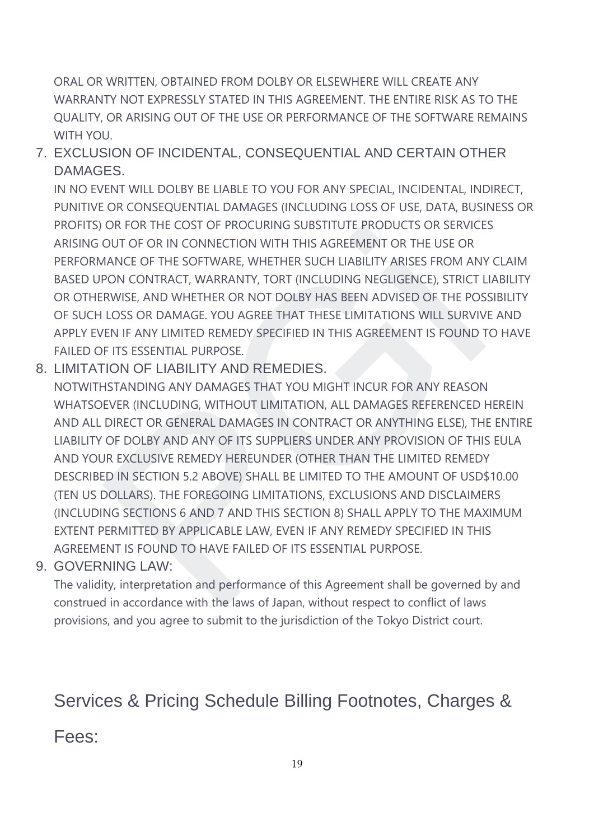ORAL OR WRITTEN, OBTAINED FROM DOLBY OR ELSEWHERE WILL CREATE ANY WARRANTY NOT EXPRESSLY STATED IN THIS AGREEMENT. THE ENTIRE RISK AS TO THE QUALITY, OR ARISING OUT OF THE USE OR PERFORMANCE OF THE SOFTWARE REMAINS WITH YOU.

## 7. EXCLUSION OF INCIDENTAL, CONSEQUENTIAL AND CERTAIN OTHER DAMAGES.

IN NO EVENT WILL DOLBY BE LIABLE TO YOU FOR ANY SPECIAL, INCIDENTAL, INDIRECT, PUNITIVE OR CONSEQUENTIAL DAMAGES (INCLUDING LOSS OF USE, DATA, BUSINESS OR PROFITS) OR FOR THE COST OF PROCURING SUBSTITUTE PRODUCTS OR SERVICES ARISING OUT OF OR IN CONNECTION WITH THIS AGREEMENT OR THE USE OR PERFORMANCE OF THE SOFTWARE, WHETHER SUCH LIABILITY ARISES FROM ANY CLAIM BASED UPON CONTRACT, WARRANTY, TORT (INCLUDING NEGLIGENCE), STRICT LIABILITY OR OTHERWISE, AND WHETHER OR NOT DOLBY HAS BEEN ADVISED OF THE POSSIBILITY OF SUCH LOSS OR DAMAGE. YOU AGREE THAT THESE LIMITATIONS WILL SURVIVE AND APPLY EVEN IF ANY LIMITED REMEDY SPECIFIED IN THIS AGREEMENT IS FOUND TO HAVE FAILED OF ITS ESSENTIAL PURPOSE.

8. LIMITATION OF LIABILITY AND REMEDIES.

NOTWITHSTANDING ANY DAMAGES THAT YOU MIGHT INCUR FOR ANY REASON WHATSOEVER (INCLUDING, WITHOUT LIMITATION, ALL DAMAGES REFERENCED HEREIN AND ALL DIRECT OR GENERAL DAMAGES IN CONTRACT OR ANYTHING ELSE), THE ENTIRE LIABILITY OF DOLBY AND ANY OF ITS SUPPLIERS UNDER ANY PROVISION OF THIS EULA AND YOUR EXCLUSIVE REMEDY HEREUNDER (OTHER THAN THE LIMITED REMEDY DESCRIBED IN SECTION 5.2 ABOVE) SHALL BE LIMITED TO THE AMOUNT OF USD\$10.00 (TEN US DOLLARS). THE FOREGOING LIMITATIONS, EXCLUSIONS AND DISCLAIMERS (INCLUDING SECTIONS 6 AND 7 AND THIS SECTION 8) SHALL APPLY TO THE MAXIMUM EXTENT PERMITTED BY APPLICABLE LAW, EVEN IF ANY REMEDY SPECIFIED IN THIS AGREEMENT IS FOUND TO HAVE FAILED OF ITS ESSENTIAL PURPOSE. OR FOR IN CONNECTION WITH THIS AGREEMENT OR THE USE OR INCOLUSE OF THE COST OF PROCURING SUBSITIOTE PRODUCTS OR SERVICE<br>AIANCE OF THE SOFTWARE, WHETHER SUCH LIABILITY ARISES FROM ANY<br>PON CONTRACT, WARRANTY, TORT (INCLUDING

### 9. GOVERNING LAW:

The validity, interpretation and performance of this Agreement shall be governed by and construed in accordance with the laws of Japan, without respect to conflict of laws provisions, and you agree to submit to the jurisdiction of the Tokyo District court.

# Services & Pricing Schedule Billing Footnotes, Charges &

## Fees: